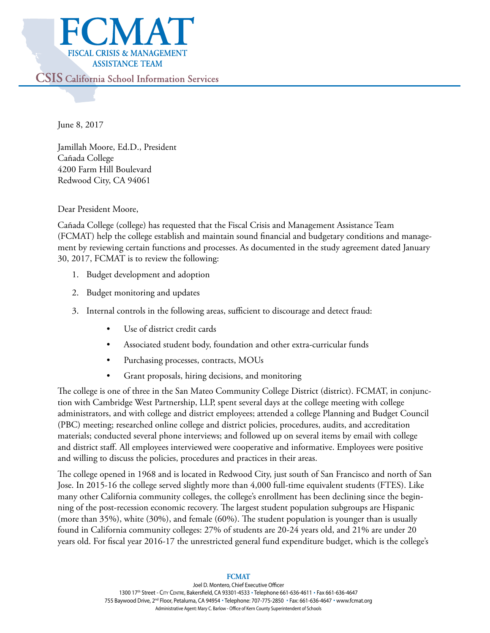

June 8, 2017

Jamillah Moore, Ed.D., President Cañada College 4200 Farm Hill Boulevard Redwood City, CA 94061

Dear President Moore,

Cañada College (college) has requested that the Fiscal Crisis and Management Assistance Team (FCMAT) help the college establish and maintain sound financial and budgetary conditions and management by reviewing certain functions and processes. As documented in the study agreement dated January 30, 2017, FCMAT is to review the following:

- 1. Budget development and adoption
- 2. Budget monitoring and updates
- 3. Internal controls in the following areas, sufficient to discourage and detect fraud:
	- Use of district credit cards
	- Associated student body, foundation and other extra-curricular funds
	- Purchasing processes, contracts, MOUs
	- Grant proposals, hiring decisions, and monitoring

The college is one of three in the San Mateo Community College District (district). FCMAT, in conjunction with Cambridge West Partnership, LLP, spent several days at the college meeting with college administrators, and with college and district employees; attended a college Planning and Budget Council (PBC) meeting; researched online college and district policies, procedures, audits, and accreditation materials; conducted several phone interviews; and followed up on several items by email with college and district staff. All employees interviewed were cooperative and informative. Employees were positive and willing to discuss the policies, procedures and practices in their areas.

The college opened in 1968 and is located in Redwood City, just south of San Francisco and north of San Jose. In 2015-16 the college served slightly more than 4,000 full-time equivalent students (FTES). Like many other California community colleges, the college's enrollment has been declining since the beginning of the post-recession economic recovery. The largest student population subgroups are Hispanic (more than 35%), white (30%), and female (60%). The student population is younger than is usually found in California community colleges: 27% of students are 20-24 years old, and 21% are under 20 years old. For fiscal year 2016-17 the unrestricted general fund expenditure budget, which is the college's

#### **FCMAT**

Joel D. Montero, Chief Executive Officer 1300 17th Street - CITY CENTRE, Bakersfield, CA 93301-4533 . Telephone 661-636-4611 . Fax 661-636-4647 755 Baywood Drive, 2<sup>nd</sup> Floor, Petaluma, CA 94954 · Telephone: 707-775-2850 · Fax: 661-636-4647 · www.fcmat.org Administrative Agent: Mary C. Barlow - Office of Kern County Superintendent of Schools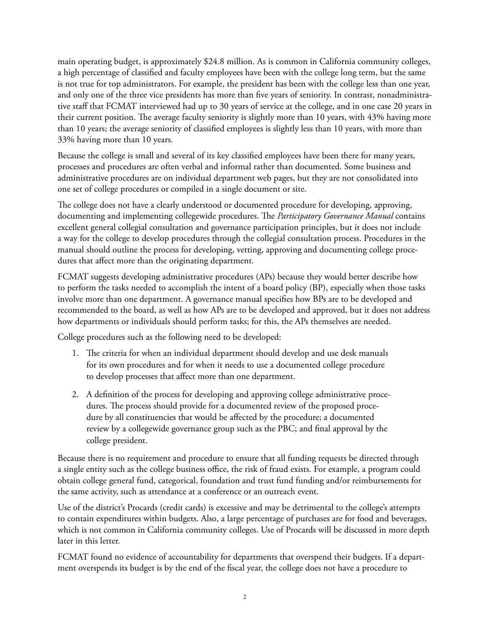main operating budget, is approximately \$24.8 million. As is common in California community colleges, a high percentage of classified and faculty employees have been with the college long term, but the same is not true for top administrators. For example, the president has been with the college less than one year, and only one of the three vice presidents has more than five years of seniority. In contrast, nonadministrative staff that FCMAT interviewed had up to 30 years of service at the college, and in one case 20 years in their current position. The average faculty seniority is slightly more than 10 years, with 43% having more than 10 years; the average seniority of classified employees is slightly less than 10 years, with more than 33% having more than 10 years.

Because the college is small and several of its key classified employees have been there for many years, processes and procedures are often verbal and informal rather than documented. Some business and administrative procedures are on individual department web pages, but they are not consolidated into one set of college procedures or compiled in a single document or site.

The college does not have a clearly understood or documented procedure for developing, approving, documenting and implementing collegewide procedures. The *Participatory Governance Manual* contains excellent general collegial consultation and governance participation principles, but it does not include a way for the college to develop procedures through the collegial consultation process. Procedures in the manual should outline the process for developing, vetting, approving and documenting college procedures that affect more than the originating department.

FCMAT suggests developing administrative procedures (APs) because they would better describe how to perform the tasks needed to accomplish the intent of a board policy (BP), especially when those tasks involve more than one department. A governance manual specifies how BPs are to be developed and recommended to the board, as well as how APs are to be developed and approved, but it does not address how departments or individuals should perform tasks; for this, the APs themselves are needed.

College procedures such as the following need to be developed:

- 1. The criteria for when an individual department should develop and use desk manuals for its own procedures and for when it needs to use a documented college procedure to develop processes that affect more than one department.
- 2. A definition of the process for developing and approving college administrative procedures. The process should provide for a documented review of the proposed procedure by all constituencies that would be affected by the procedure; a documented review by a collegewide governance group such as the PBC; and final approval by the college president.

Because there is no requirement and procedure to ensure that all funding requests be directed through a single entity such as the college business office, the risk of fraud exists. For example, a program could obtain college general fund, categorical, foundation and trust fund funding and/or reimbursements for the same activity, such as attendance at a conference or an outreach event.

Use of the district's Procards (credit cards) is excessive and may be detrimental to the college's attempts to contain expenditures within budgets. Also, a large percentage of purchases are for food and beverages, which is not common in California community colleges. Use of Procards will be discussed in more depth later in this letter.

FCMAT found no evidence of accountability for departments that overspend their budgets. If a department overspends its budget is by the end of the fiscal year, the college does not have a procedure to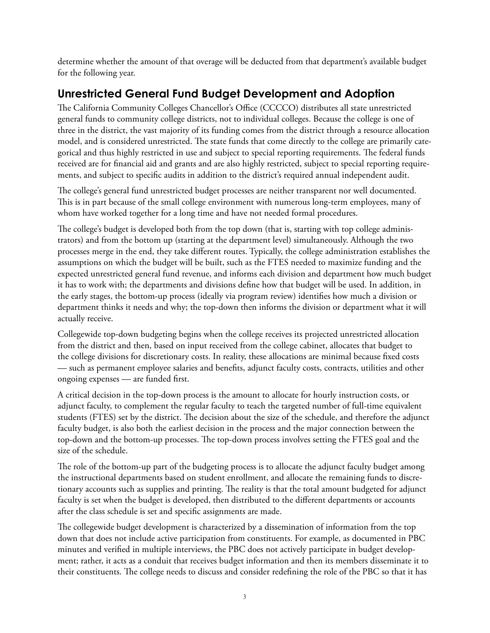determine whether the amount of that overage will be deducted from that department's available budget for the following year.

### **Unrestricted General Fund Budget Development and Adoption**

The California Community Colleges Chancellor's Office (CCCCO) distributes all state unrestricted general funds to community college districts, not to individual colleges. Because the college is one of three in the district, the vast majority of its funding comes from the district through a resource allocation model, and is considered unrestricted. The state funds that come directly to the college are primarily categorical and thus highly restricted in use and subject to special reporting requirements. The federal funds received are for financial aid and grants and are also highly restricted, subject to special reporting requirements, and subject to specific audits in addition to the district's required annual independent audit.

The college's general fund unrestricted budget processes are neither transparent nor well documented. This is in part because of the small college environment with numerous long-term employees, many of whom have worked together for a long time and have not needed formal procedures.

The college's budget is developed both from the top down (that is, starting with top college administrators) and from the bottom up (starting at the department level) simultaneously. Although the two processes merge in the end, they take different routes. Typically, the college administration establishes the assumptions on which the budget will be built, such as the FTES needed to maximize funding and the expected unrestricted general fund revenue, and informs each division and department how much budget it has to work with; the departments and divisions define how that budget will be used. In addition, in the early stages, the bottom-up process (ideally via program review) identifies how much a division or department thinks it needs and why; the top-down then informs the division or department what it will actually receive.

Collegewide top-down budgeting begins when the college receives its projected unrestricted allocation from the district and then, based on input received from the college cabinet, allocates that budget to the college divisions for discretionary costs. In reality, these allocations are minimal because fixed costs — such as permanent employee salaries and benefits, adjunct faculty costs, contracts, utilities and other ongoing expenses — are funded first.

A critical decision in the top-down process is the amount to allocate for hourly instruction costs, or adjunct faculty, to complement the regular faculty to teach the targeted number of full-time equivalent students (FTES) set by the district. The decision about the size of the schedule, and therefore the adjunct faculty budget, is also both the earliest decision in the process and the major connection between the top-down and the bottom-up processes. The top-down process involves setting the FTES goal and the size of the schedule.

The role of the bottom-up part of the budgeting process is to allocate the adjunct faculty budget among the instructional departments based on student enrollment, and allocate the remaining funds to discretionary accounts such as supplies and printing. The reality is that the total amount budgeted for adjunct faculty is set when the budget is developed, then distributed to the different departments or accounts after the class schedule is set and specific assignments are made.

The collegewide budget development is characterized by a dissemination of information from the top down that does not include active participation from constituents. For example, as documented in PBC minutes and verified in multiple interviews, the PBC does not actively participate in budget development; rather, it acts as a conduit that receives budget information and then its members disseminate it to their constituents. The college needs to discuss and consider redefining the role of the PBC so that it has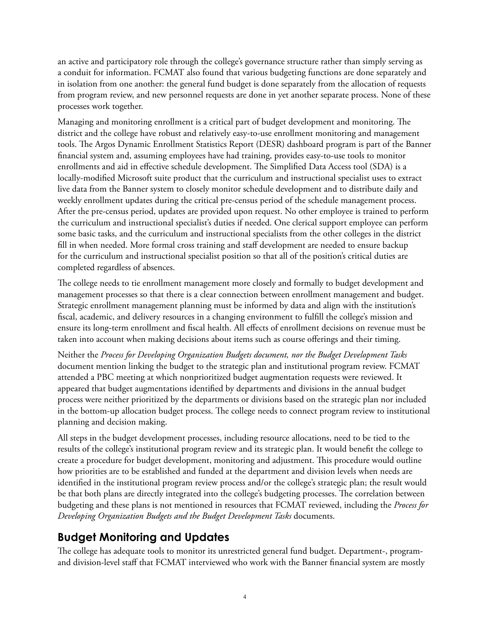an active and participatory role through the college's governance structure rather than simply serving as a conduit for information. FCMAT also found that various budgeting functions are done separately and in isolation from one another: the general fund budget is done separately from the allocation of requests from program review, and new personnel requests are done in yet another separate process. None of these processes work together.

Managing and monitoring enrollment is a critical part of budget development and monitoring. The district and the college have robust and relatively easy-to-use enrollment monitoring and management tools. The Argos Dynamic Enrollment Statistics Report (DESR) dashboard program is part of the Banner financial system and, assuming employees have had training, provides easy-to-use tools to monitor enrollments and aid in effective schedule development. The Simplified Data Access tool (SDA) is a locally-modified Microsoft suite product that the curriculum and instructional specialist uses to extract live data from the Banner system to closely monitor schedule development and to distribute daily and weekly enrollment updates during the critical pre-census period of the schedule management process. After the pre-census period, updates are provided upon request. No other employee is trained to perform the curriculum and instructional specialist's duties if needed. One clerical support employee can perform some basic tasks, and the curriculum and instructional specialists from the other colleges in the district fill in when needed. More formal cross training and staff development are needed to ensure backup for the curriculum and instructional specialist position so that all of the position's critical duties are completed regardless of absences.

The college needs to tie enrollment management more closely and formally to budget development and management processes so that there is a clear connection between enrollment management and budget. Strategic enrollment management planning must be informed by data and align with the institution's fiscal, academic, and delivery resources in a changing environment to fulfill the college's mission and ensure its long-term enrollment and fiscal health. All effects of enrollment decisions on revenue must be taken into account when making decisions about items such as course offerings and their timing.

Neither the *Process for Developing Organization Budgets document, nor the Budget Development Tasks* document mention linking the budget to the strategic plan and institutional program review. FCMAT attended a PBC meeting at which nonprioritized budget augmentation requests were reviewed. It appeared that budget augmentations identified by departments and divisions in the annual budget process were neither prioritized by the departments or divisions based on the strategic plan nor included in the bottom-up allocation budget process. The college needs to connect program review to institutional planning and decision making.

All steps in the budget development processes, including resource allocations, need to be tied to the results of the college's institutional program review and its strategic plan. It would benefit the college to create a procedure for budget development, monitoring and adjustment. This procedure would outline how priorities are to be established and funded at the department and division levels when needs are identified in the institutional program review process and/or the college's strategic plan; the result would be that both plans are directly integrated into the college's budgeting processes. The correlation between budgeting and these plans is not mentioned in resources that FCMAT reviewed, including the *Process for Developing Organization Budgets and the Budget Development Tasks* documents.

## **Budget Monitoring and Updates**

The college has adequate tools to monitor its unrestricted general fund budget. Department-, programand division-level staff that FCMAT interviewed who work with the Banner financial system are mostly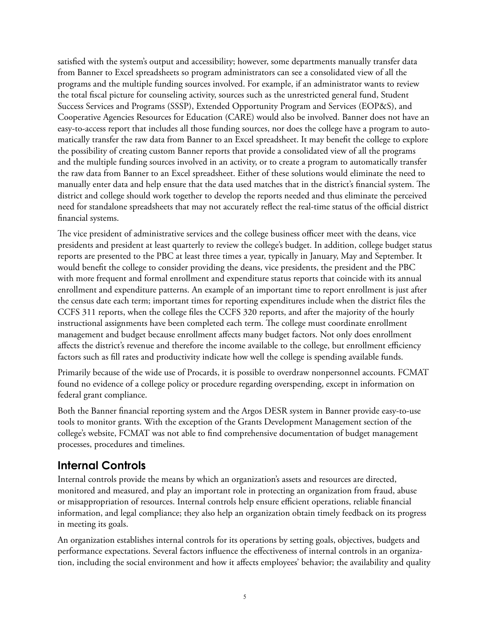satisfied with the system's output and accessibility; however, some departments manually transfer data from Banner to Excel spreadsheets so program administrators can see a consolidated view of all the programs and the multiple funding sources involved. For example, if an administrator wants to review the total fiscal picture for counseling activity, sources such as the unrestricted general fund, Student Success Services and Programs (SSSP), Extended Opportunity Program and Services (EOP&S), and Cooperative Agencies Resources for Education (CARE) would also be involved. Banner does not have an easy-to-access report that includes all those funding sources, nor does the college have a program to automatically transfer the raw data from Banner to an Excel spreadsheet. It may benefit the college to explore the possibility of creating custom Banner reports that provide a consolidated view of all the programs and the multiple funding sources involved in an activity, or to create a program to automatically transfer the raw data from Banner to an Excel spreadsheet. Either of these solutions would eliminate the need to manually enter data and help ensure that the data used matches that in the district's financial system. The district and college should work together to develop the reports needed and thus eliminate the perceived need for standalone spreadsheets that may not accurately reflect the real-time status of the official district financial systems.

The vice president of administrative services and the college business officer meet with the deans, vice presidents and president at least quarterly to review the college's budget. In addition, college budget status reports are presented to the PBC at least three times a year, typically in January, May and September. It would benefit the college to consider providing the deans, vice presidents, the president and the PBC with more frequent and formal enrollment and expenditure status reports that coincide with its annual enrollment and expenditure patterns. An example of an important time to report enrollment is just after the census date each term; important times for reporting expenditures include when the district files the CCFS 311 reports, when the college files the CCFS 320 reports, and after the majority of the hourly instructional assignments have been completed each term. The college must coordinate enrollment management and budget because enrollment affects many budget factors. Not only does enrollment affects the district's revenue and therefore the income available to the college, but enrollment efficiency factors such as fill rates and productivity indicate how well the college is spending available funds.

Primarily because of the wide use of Procards, it is possible to overdraw nonpersonnel accounts. FCMAT found no evidence of a college policy or procedure regarding overspending, except in information on federal grant compliance.

Both the Banner financial reporting system and the Argos DESR system in Banner provide easy-to-use tools to monitor grants. With the exception of the Grants Development Management section of the college's website, FCMAT was not able to find comprehensive documentation of budget management processes, procedures and timelines.

### **Internal Controls**

Internal controls provide the means by which an organization's assets and resources are directed, monitored and measured, and play an important role in protecting an organization from fraud, abuse or misappropriation of resources. Internal controls help ensure efficient operations, reliable financial information, and legal compliance; they also help an organization obtain timely feedback on its progress in meeting its goals.

An organization establishes internal controls for its operations by setting goals, objectives, budgets and performance expectations. Several factors influence the effectiveness of internal controls in an organization, including the social environment and how it affects employees' behavior; the availability and quality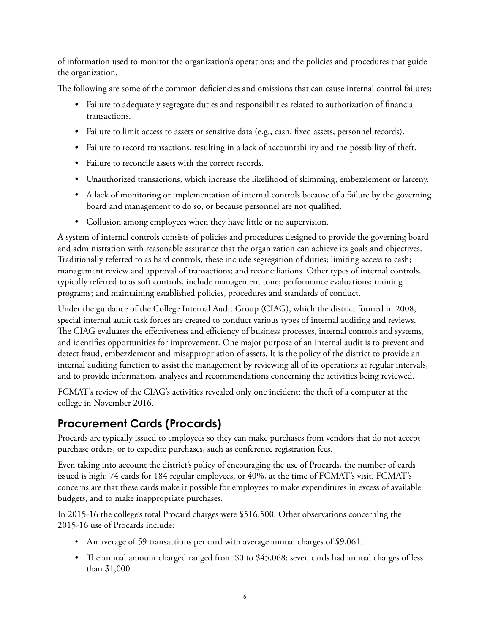of information used to monitor the organization's operations; and the policies and procedures that guide the organization.

The following are some of the common deficiencies and omissions that can cause internal control failures:

- Failure to adequately segregate duties and responsibilities related to authorization of financial transactions.
- Failure to limit access to assets or sensitive data (e.g., cash, fixed assets, personnel records).
- Failure to record transactions, resulting in a lack of accountability and the possibility of theft.
- Failure to reconcile assets with the correct records.
- Unauthorized transactions, which increase the likelihood of skimming, embezzlement or larceny.
- A lack of monitoring or implementation of internal controls because of a failure by the governing board and management to do so, or because personnel are not qualified.
- Collusion among employees when they have little or no supervision.

A system of internal controls consists of policies and procedures designed to provide the governing board and administration with reasonable assurance that the organization can achieve its goals and objectives. Traditionally referred to as hard controls, these include segregation of duties; limiting access to cash; management review and approval of transactions; and reconciliations. Other types of internal controls, typically referred to as soft controls, include management tone; performance evaluations; training programs; and maintaining established policies, procedures and standards of conduct.

Under the guidance of the College Internal Audit Group (CIAG), which the district formed in 2008, special internal audit task forces are created to conduct various types of internal auditing and reviews. The CIAG evaluates the effectiveness and efficiency of business processes, internal controls and systems, and identifies opportunities for improvement. One major purpose of an internal audit is to prevent and detect fraud, embezzlement and misappropriation of assets. It is the policy of the district to provide an internal auditing function to assist the management by reviewing all of its operations at regular intervals, and to provide information, analyses and recommendations concerning the activities being reviewed.

FCMAT's review of the CIAG's activities revealed only one incident: the theft of a computer at the college in November 2016.

### **Procurement Cards (Procards)**

Procards are typically issued to employees so they can make purchases from vendors that do not accept purchase orders, or to expedite purchases, such as conference registration fees.

Even taking into account the district's policy of encouraging the use of Procards, the number of cards issued is high: 74 cards for 184 regular employees, or 40%, at the time of FCMAT's visit. FCMAT's concerns are that these cards make it possible for employees to make expenditures in excess of available budgets, and to make inappropriate purchases.

In 2015-16 the college's total Procard charges were \$516,500. Other observations concerning the 2015-16 use of Procards include:

- An average of 59 transactions per card with average annual charges of \$9,061.
- The annual amount charged ranged from \$0 to \$45,068; seven cards had annual charges of less than \$1,000.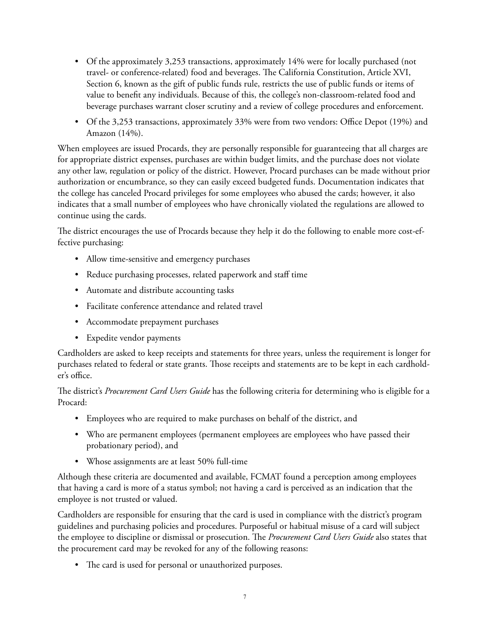- Of the approximately 3,253 transactions, approximately 14% were for locally purchased (not travel- or conference-related) food and beverages. The California Constitution, Article XVI, Section 6, known as the gift of public funds rule, restricts the use of public funds or items of value to benefit any individuals. Because of this, the college's non-classroom-related food and beverage purchases warrant closer scrutiny and a review of college procedures and enforcement.
- Of the 3,253 transactions, approximately 33% were from two vendors: Office Depot (19%) and Amazon (14%).

When employees are issued Procards, they are personally responsible for guaranteeing that all charges are for appropriate district expenses, purchases are within budget limits, and the purchase does not violate any other law, regulation or policy of the district. However, Procard purchases can be made without prior authorization or encumbrance, so they can easily exceed budgeted funds. Documentation indicates that the college has canceled Procard privileges for some employees who abused the cards; however, it also indicates that a small number of employees who have chronically violated the regulations are allowed to continue using the cards.

The district encourages the use of Procards because they help it do the following to enable more cost-effective purchasing:

- Allow time-sensitive and emergency purchases
- Reduce purchasing processes, related paperwork and staff time
- Automate and distribute accounting tasks
- Facilitate conference attendance and related travel
- Accommodate prepayment purchases
- Expedite vendor payments

Cardholders are asked to keep receipts and statements for three years, unless the requirement is longer for purchases related to federal or state grants. Those receipts and statements are to be kept in each cardholder's office.

The district's *Procurement Card Users Guide* has the following criteria for determining who is eligible for a Procard:

- Employees who are required to make purchases on behalf of the district, and
- Who are permanent employees (permanent employees are employees who have passed their probationary period), and
- Whose assignments are at least 50% full-time

Although these criteria are documented and available, FCMAT found a perception among employees that having a card is more of a status symbol; not having a card is perceived as an indication that the employee is not trusted or valued.

Cardholders are responsible for ensuring that the card is used in compliance with the district's program guidelines and purchasing policies and procedures. Purposeful or habitual misuse of a card will subject the employee to discipline or dismissal or prosecution. The *Procurement Card Users Guide* also states that the procurement card may be revoked for any of the following reasons:

• The card is used for personal or unauthorized purposes.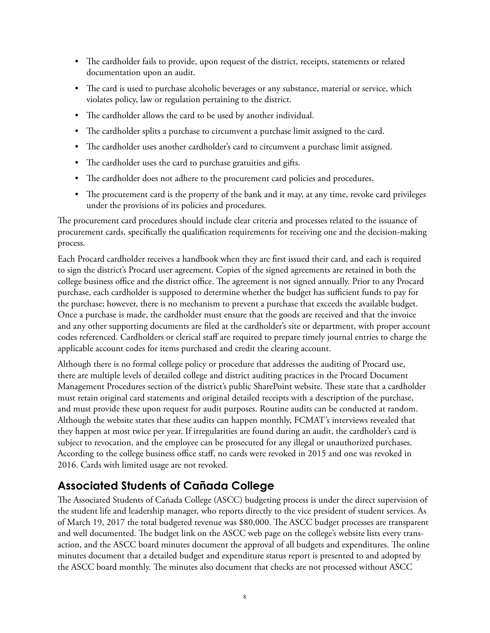- The cardholder fails to provide, upon request of the district, receipts, statements or related documentation upon an audit.
- The card is used to purchase alcoholic beverages or any substance, material or service, which violates policy, law or regulation pertaining to the district.
- The cardholder allows the card to be used by another individual.
- The cardholder splits a purchase to circumvent a purchase limit assigned to the card.
- The cardholder uses another cardholder's card to circumvent a purchase limit assigned.
- The cardholder uses the card to purchase gratuities and gifts.
- The cardholder does not adhere to the procurement card policies and procedures.
- The procurement card is the property of the bank and it may, at any time, revoke card privileges under the provisions of its policies and procedures.

The procurement card procedures should include clear criteria and processes related to the issuance of procurement cards, specifically the qualification requirements for receiving one and the decision-making process.

Each Procard cardholder receives a handbook when they are first issued their card, and each is required to sign the district's Procard user agreement. Copies of the signed agreements are retained in both the college business office and the district office. The agreement is not signed annually. Prior to any Procard purchase, each cardholder is supposed to determine whether the budget has sufficient funds to pay for the purchase; however, there is no mechanism to prevent a purchase that exceeds the available budget. Once a purchase is made, the cardholder must ensure that the goods are received and that the invoice and any other supporting documents are filed at the cardholder's site or department, with proper account codes referenced. Cardholders or clerical staff are required to prepare timely journal entries to charge the applicable account codes for items purchased and credit the clearing account.

Although there is no formal college policy or procedure that addresses the auditing of Procard use, there are multiple levels of detailed college and district auditing practices in the Procard Document Management Procedures section of the district's public SharePoint website. These state that a cardholder must retain original card statements and original detailed receipts with a description of the purchase, and must provide these upon request for audit purposes. Routine audits can be conducted at random. Although the website states that these audits can happen monthly, FCMAT's interviews revealed that they happen at most twice per year. If irregularities are found during an audit, the cardholder's card is subject to revocation, and the employee can be prosecuted for any illegal or unauthorized purchases. According to the college business office staff, no cards were revoked in 2015 and one was revoked in 2016. Cards with limited usage are not revoked.

## **Associated Students of Cañada College**

The Associated Students of Cañada College (ASCC) budgeting process is under the direct supervision of the student life and leadership manager, who reports directly to the vice president of student services. As of March 19, 2017 the total budgeted revenue was \$80,000. The ASCC budget processes are transparent and well documented. The budget link on the ASCC web page on the college's website lists every transaction, and the ASCC board minutes document the approval of all budgets and expenditures. The online minutes document that a detailed budget and expenditure status report is presented to and adopted by the ASCC board monthly. The minutes also document that checks are not processed without ASCC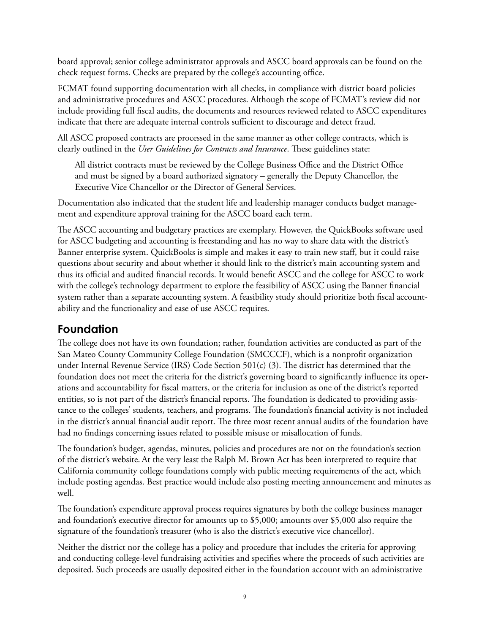board approval; senior college administrator approvals and ASCC board approvals can be found on the check request forms. Checks are prepared by the college's accounting office.

FCMAT found supporting documentation with all checks, in compliance with district board policies and administrative procedures and ASCC procedures. Although the scope of FCMAT's review did not include providing full fiscal audits, the documents and resources reviewed related to ASCC expenditures indicate that there are adequate internal controls sufficient to discourage and detect fraud.

All ASCC proposed contracts are processed in the same manner as other college contracts, which is clearly outlined in the *User Guidelines for Contracts and Insurance*. These guidelines state:

All district contracts must be reviewed by the College Business Office and the District Office and must be signed by a board authorized signatory – generally the Deputy Chancellor, the Executive Vice Chancellor or the Director of General Services.

Documentation also indicated that the student life and leadership manager conducts budget management and expenditure approval training for the ASCC board each term.

The ASCC accounting and budgetary practices are exemplary. However, the QuickBooks software used for ASCC budgeting and accounting is freestanding and has no way to share data with the district's Banner enterprise system. QuickBooks is simple and makes it easy to train new staff, but it could raise questions about security and about whether it should link to the district's main accounting system and thus its official and audited financial records. It would benefit ASCC and the college for ASCC to work with the college's technology department to explore the feasibility of ASCC using the Banner financial system rather than a separate accounting system. A feasibility study should prioritize both fiscal accountability and the functionality and ease of use ASCC requires.

### **Foundation**

The college does not have its own foundation; rather, foundation activities are conducted as part of the San Mateo County Community College Foundation (SMCCCF), which is a nonprofit organization under Internal Revenue Service (IRS) Code Section 501(c) (3). The district has determined that the foundation does not meet the criteria for the district's governing board to significantly influence its operations and accountability for fiscal matters, or the criteria for inclusion as one of the district's reported entities, so is not part of the district's financial reports. The foundation is dedicated to providing assistance to the colleges' students, teachers, and programs. The foundation's financial activity is not included in the district's annual financial audit report. The three most recent annual audits of the foundation have had no findings concerning issues related to possible misuse or misallocation of funds.

The foundation's budget, agendas, minutes, policies and procedures are not on the foundation's section of the district's website. At the very least the Ralph M. Brown Act has been interpreted to require that California community college foundations comply with public meeting requirements of the act, which include posting agendas. Best practice would include also posting meeting announcement and minutes as well.

The foundation's expenditure approval process requires signatures by both the college business manager and foundation's executive director for amounts up to \$5,000; amounts over \$5,000 also require the signature of the foundation's treasurer (who is also the district's executive vice chancellor).

Neither the district nor the college has a policy and procedure that includes the criteria for approving and conducting college-level fundraising activities and specifies where the proceeds of such activities are deposited. Such proceeds are usually deposited either in the foundation account with an administrative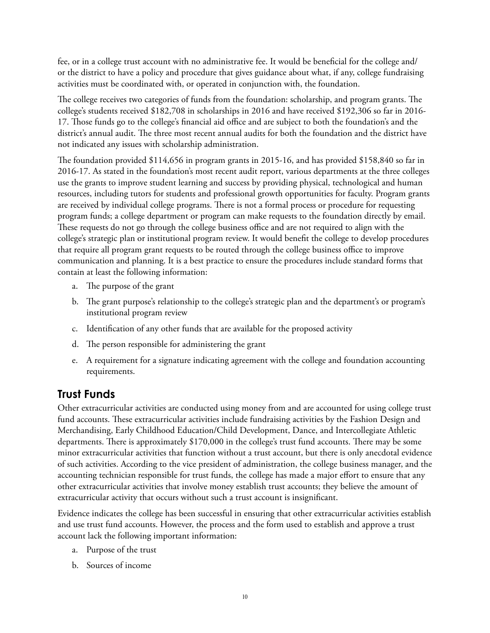fee, or in a college trust account with no administrative fee. It would be beneficial for the college and/ or the district to have a policy and procedure that gives guidance about what, if any, college fundraising activities must be coordinated with, or operated in conjunction with, the foundation.

The college receives two categories of funds from the foundation: scholarship, and program grants. The college's students received \$182,708 in scholarships in 2016 and have received \$192,306 so far in 2016- 17. Those funds go to the college's financial aid office and are subject to both the foundation's and the district's annual audit. The three most recent annual audits for both the foundation and the district have not indicated any issues with scholarship administration.

The foundation provided \$114,656 in program grants in 2015-16, and has provided \$158,840 so far in 2016-17. As stated in the foundation's most recent audit report, various departments at the three colleges use the grants to improve student learning and success by providing physical, technological and human resources, including tutors for students and professional growth opportunities for faculty. Program grants are received by individual college programs. There is not a formal process or procedure for requesting program funds; a college department or program can make requests to the foundation directly by email. These requests do not go through the college business office and are not required to align with the college's strategic plan or institutional program review. It would benefit the college to develop procedures that require all program grant requests to be routed through the college business office to improve communication and planning. It is a best practice to ensure the procedures include standard forms that contain at least the following information:

- a. The purpose of the grant
- b. The grant purpose's relationship to the college's strategic plan and the department's or program's institutional program review
- c. Identification of any other funds that are available for the proposed activity
- d. The person responsible for administering the grant
- e. A requirement for a signature indicating agreement with the college and foundation accounting requirements.

### **Trust Funds**

Other extracurricular activities are conducted using money from and are accounted for using college trust fund accounts. These extracurricular activities include fundraising activities by the Fashion Design and Merchandising, Early Childhood Education/Child Development, Dance, and Intercollegiate Athletic departments. There is approximately \$170,000 in the college's trust fund accounts. There may be some minor extracurricular activities that function without a trust account, but there is only anecdotal evidence of such activities. According to the vice president of administration, the college business manager, and the accounting technician responsible for trust funds, the college has made a major effort to ensure that any other extracurricular activities that involve money establish trust accounts; they believe the amount of extracurricular activity that occurs without such a trust account is insignificant.

Evidence indicates the college has been successful in ensuring that other extracurricular activities establish and use trust fund accounts. However, the process and the form used to establish and approve a trust account lack the following important information:

- a. Purpose of the trust
- b. Sources of income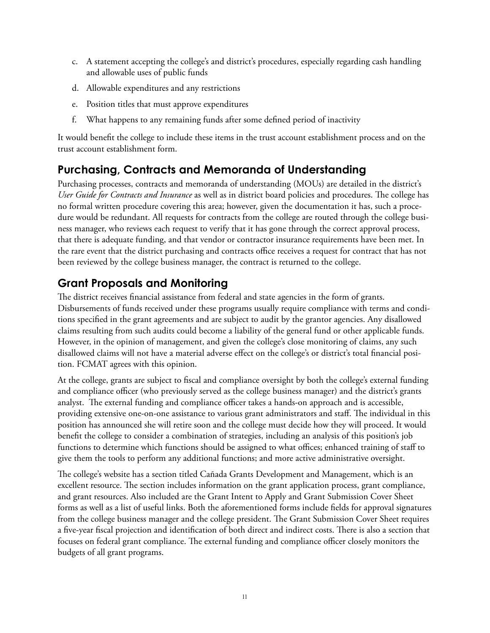- c. A statement accepting the college's and district's procedures, especially regarding cash handling and allowable uses of public funds
- d. Allowable expenditures and any restrictions
- e. Position titles that must approve expenditures
- f. What happens to any remaining funds after some defined period of inactivity

It would benefit the college to include these items in the trust account establishment process and on the trust account establishment form.

### **Purchasing, Contracts and Memoranda of Understanding**

Purchasing processes, contracts and memoranda of understanding (MOUs) are detailed in the district's *User Guide for Contracts and Insurance* as well as in district board policies and procedures. The college has no formal written procedure covering this area; however, given the documentation it has, such a procedure would be redundant. All requests for contracts from the college are routed through the college business manager, who reviews each request to verify that it has gone through the correct approval process, that there is adequate funding, and that vendor or contractor insurance requirements have been met. In the rare event that the district purchasing and contracts office receives a request for contract that has not been reviewed by the college business manager, the contract is returned to the college.

### **Grant Proposals and Monitoring**

The district receives financial assistance from federal and state agencies in the form of grants. Disbursements of funds received under these programs usually require compliance with terms and conditions specified in the grant agreements and are subject to audit by the grantor agencies. Any disallowed claims resulting from such audits could become a liability of the general fund or other applicable funds. However, in the opinion of management, and given the college's close monitoring of claims, any such disallowed claims will not have a material adverse effect on the college's or district's total financial position. FCMAT agrees with this opinion.

At the college, grants are subject to fiscal and compliance oversight by both the college's external funding and compliance officer (who previously served as the college business manager) and the district's grants analyst. The external funding and compliance officer takes a hands-on approach and is accessible, providing extensive one-on-one assistance to various grant administrators and staff. The individual in this position has announced she will retire soon and the college must decide how they will proceed. It would benefit the college to consider a combination of strategies, including an analysis of this position's job functions to determine which functions should be assigned to what offices; enhanced training of staff to give them the tools to perform any additional functions; and more active administrative oversight.

The college's website has a section titled Cañada Grants Development and Management, which is an excellent resource. The section includes information on the grant application process, grant compliance, and grant resources. Also included are the Grant Intent to Apply and Grant Submission Cover Sheet forms as well as a list of useful links. Both the aforementioned forms include fields for approval signatures from the college business manager and the college president. The Grant Submission Cover Sheet requires a five-year fiscal projection and identification of both direct and indirect costs. There is also a section that focuses on federal grant compliance. The external funding and compliance officer closely monitors the budgets of all grant programs.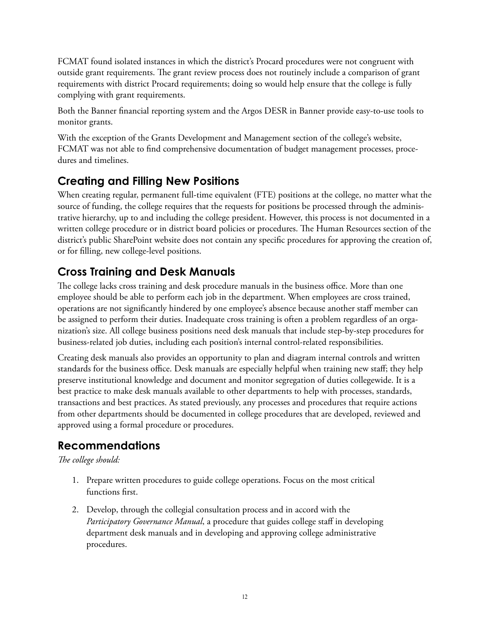FCMAT found isolated instances in which the district's Procard procedures were not congruent with outside grant requirements. The grant review process does not routinely include a comparison of grant requirements with district Procard requirements; doing so would help ensure that the college is fully complying with grant requirements.

Both the Banner financial reporting system and the Argos DESR in Banner provide easy-to-use tools to monitor grants.

With the exception of the Grants Development and Management section of the college's website, FCMAT was not able to find comprehensive documentation of budget management processes, procedures and timelines.

# **Creating and Filling New Positions**

When creating regular, permanent full-time equivalent (FTE) positions at the college, no matter what the source of funding, the college requires that the requests for positions be processed through the administrative hierarchy, up to and including the college president. However, this process is not documented in a written college procedure or in district board policies or procedures. The Human Resources section of the district's public SharePoint website does not contain any specific procedures for approving the creation of, or for filling, new college-level positions.

# **Cross Training and Desk Manuals**

The college lacks cross training and desk procedure manuals in the business office. More than one employee should be able to perform each job in the department. When employees are cross trained, operations are not significantly hindered by one employee's absence because another staff member can be assigned to perform their duties. Inadequate cross training is often a problem regardless of an organization's size. All college business positions need desk manuals that include step-by-step procedures for business-related job duties, including each position's internal control-related responsibilities.

Creating desk manuals also provides an opportunity to plan and diagram internal controls and written standards for the business office. Desk manuals are especially helpful when training new staff; they help preserve institutional knowledge and document and monitor segregation of duties collegewide. It is a best practice to make desk manuals available to other departments to help with processes, standards, transactions and best practices. As stated previously, any processes and procedures that require actions from other departments should be documented in college procedures that are developed, reviewed and approved using a formal procedure or procedures.

# **Recommendations**

*The college should:*

- 1. Prepare written procedures to guide college operations. Focus on the most critical functions first.
- 2. Develop, through the collegial consultation process and in accord with the *Participatory Governance Manual*, a procedure that guides college staff in developing department desk manuals and in developing and approving college administrative procedures.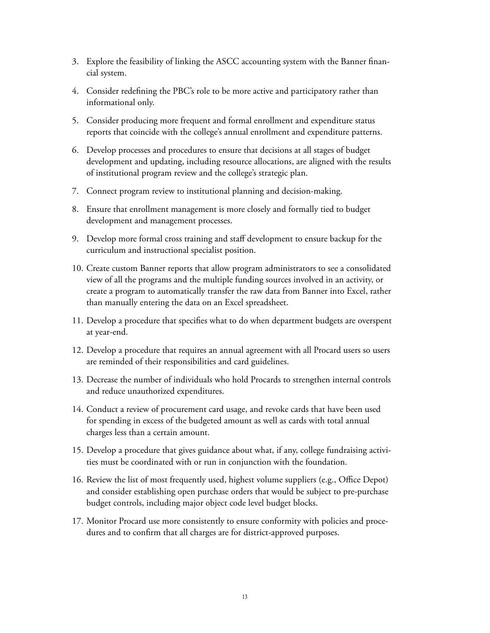- 3. Explore the feasibility of linking the ASCC accounting system with the Banner financial system.
- 4. Consider redefining the PBC's role to be more active and participatory rather than informational only.
- 5. Consider producing more frequent and formal enrollment and expenditure status reports that coincide with the college's annual enrollment and expenditure patterns.
- 6. Develop processes and procedures to ensure that decisions at all stages of budget development and updating, including resource allocations, are aligned with the results of institutional program review and the college's strategic plan.
- 7. Connect program review to institutional planning and decision-making.
- 8. Ensure that enrollment management is more closely and formally tied to budget development and management processes.
- 9. Develop more formal cross training and staff development to ensure backup for the curriculum and instructional specialist position.
- 10. Create custom Banner reports that allow program administrators to see a consolidated view of all the programs and the multiple funding sources involved in an activity, or create a program to automatically transfer the raw data from Banner into Excel, rather than manually entering the data on an Excel spreadsheet.
- 11. Develop a procedure that specifies what to do when department budgets are overspent at year-end.
- 12. Develop a procedure that requires an annual agreement with all Procard users so users are reminded of their responsibilities and card guidelines.
- 13. Decrease the number of individuals who hold Procards to strengthen internal controls and reduce unauthorized expenditures.
- 14. Conduct a review of procurement card usage, and revoke cards that have been used for spending in excess of the budgeted amount as well as cards with total annual charges less than a certain amount.
- 15. Develop a procedure that gives guidance about what, if any, college fundraising activities must be coordinated with or run in conjunction with the foundation.
- 16. Review the list of most frequently used, highest volume suppliers (e.g., Office Depot) and consider establishing open purchase orders that would be subject to pre-purchase budget controls, including major object code level budget blocks.
- 17. Monitor Procard use more consistently to ensure conformity with policies and procedures and to confirm that all charges are for district-approved purposes.